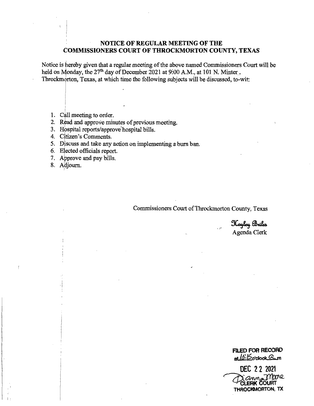### **NOTICE OF REGULAR MEETING OF THE COMMISSIONERS COURT OF THROCKMORTON COUNTY, TEXAS**

Notice is hereby given that a regular meeting of the above named Commissioners Court will be held on Monday, the 27<sup>th</sup> day of December 2021 at 9:00 A.M., at 101 N. Minter<sub>.</sub>, Throckmorton, Texas, at which time the following subjects will be discussed, to-wit:

- 1. Call meeting to order.
- 2. Read and approve minutes of previous meeting.
- 3. Hospital reports/approve hospital bills.

 $\mathbf{I} = \mathbf{I} \times \mathbf{I}$ 

- 4. Citizen's Comments.
- 5. Discuss and take any action on implementing a burn ban.
- 6. Elected officials report.
- 7. Approve and pay bills.
- 8. Adjourn.

·!

 $\mathbf{I}$ 

 $\mathbb{F}_2$ 

Commissioners Court of Throckmorton County, Texas

Kayley Briles Agenda Clerk

**FILED FOR RECORD**  at*10:15*o·clock & m

**DEC 2 2 2021 DEC 22 2021**<br>CLERK COURT<br>THROCKMORTON, TX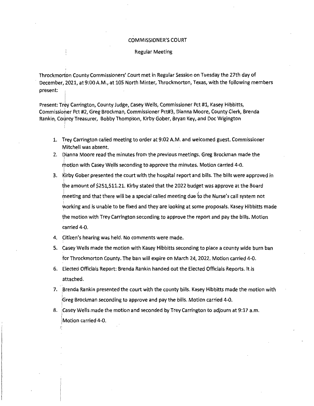#### COMMISSIONER'S COURT

#### Regular Meeting

Throckmorton County Commissioners' Court met in Regular Session on Tuesday the 27th day of December, 2021, at 9:00 A.M., at 105 North Minter, Throckmorton, Texas, with the following members present:

Present: Trey Carrington, County Judge, Casey Wells, Commissioner Pct #1, Kasey Hibbitts, Commissioher Pct #2, Greg Brockman, Commissioner Pct#3, Dianna Moore, County Clerk, Brenda Rankin, County Treasurer, Bobby Thompson, Kirby Gober, Bryan Key, and Doc Wigington

- 1. Trey Carrington called meeting to order at 9:02 A.M. and welcomed guest. Commissioner Mitchell was absent.
- 2. Dianna Moore read the minutes from the previous meetings. Greg Brockman made the motion with Casey Wells seconding to approve the minutes. Motion carried 4-0.
- 3. Kirby Gober presented the court with the hospital report and bills. The bills were approved in the amount of \$251,511.21. Kirby stated that the 2022 budget was approve at the Board meeting and that there will be a special called meeting due to the Nurse's call system not needing and that there will be a special called inceding and to the right working and is unable to be fixed and they are looking at some proposals. Kasey Hibbitts made the motion with Trey Carrington seconding to approve the report and pay the bills. Motion carried 4-0.
- 4. Citizen's hearing was held. No comments were made.

l

- 5. Casey Wells made the motion with Kasey Hibbitts seconding to place a county wide burn ban for Throckmorton County. The ban will expire on March 24, 2022. Motion carried 4-0.
- 6. Elected Officials Report: Brenda Rankin handed out the Elected Officials Reports. It is attached.
- 7. Brenda Rankin presented the court with the county bills. Kasey Hibbitts made the motion with |<br>|Greg Brockman seconding to approve and pay the bills. Motion carried 4-0.
- 8. Casey Wells made the motion and seconded by Trey Carrington to adjourn at 9:17 a.m. |<br>| Motion carried 4-0.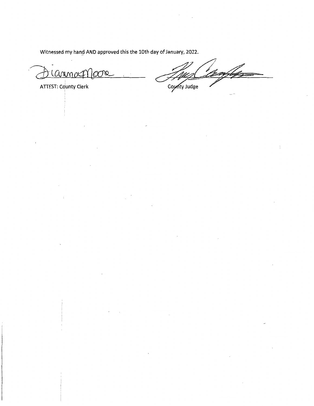Witnessed my hand AND approved this the 10th day of January, 2022.

 $\sim$ , ul lC\[)\J\'l *o4'QW'L* 

ATTEST: County Clerk

County Judge

÷,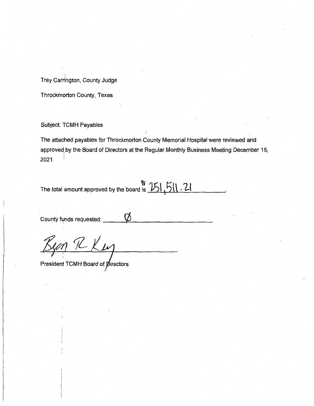I Trey Carrington, County Judge

Throckmorton County, Texas

Subject: TCMH Payables

The attached payables for Throckmorton County Memorial Hospital were reviewed and approved, by the Board of Directors at the Regular Monthly Business Meeting December 15, 2021

The total amount approved by the board is  $\frac{15!}{5!1! \cdot 2!}$ 

County funds requested:

President TCMH Board of *pirectors*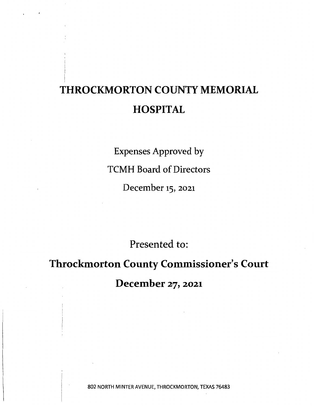## **THROCKMORTON COUNTY MEMORIAL HOSPITAL**

Expenses Approved by TCMH Board of Directors December 15, 2021

Presented to:

# **Throckmorton County Commissioner's Court December** 27, **2021**

802 NORTH MINTER AVENUE, THROCKMORTON, TEXAS 76483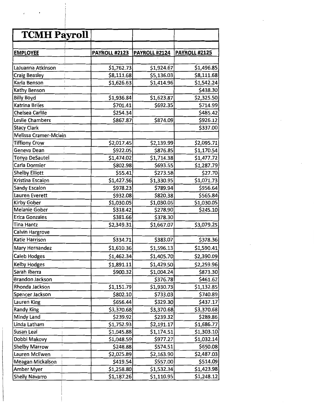| <b>TCMH Payroll</b>    |                      |                      |                      |
|------------------------|----------------------|----------------------|----------------------|
|                        |                      |                      |                      |
| <b>EMPLOYEE</b>        | <b>PAYROLL #2123</b> | <b>PAYROLL #2124</b> | <b>PAYROLL #2125</b> |
|                        |                      |                      |                      |
| LaJuanna Atkinson      | \$1,762.73           | \$1,924.67           | \$1,496.85           |
| <b>Craig Beasley</b>   | \$8,111.68           | \$5,136.03           | \$8,111.68           |
| Karla Benson           | \$1,626.63           | \$1,414.96           | \$1,542.24           |
| Kathy Benson           |                      |                      | \$438.30             |
| <b>Billy Boyd</b>      | \$1,936.84           | \$1,623.87           | \$2,325.50           |
| Katrina Briles         | \$701.41             | \$692.35             | \$714.99             |
| Chelsea Carlile        | \$254.34             |                      | \$485.42             |
| Leslie Chambers        | \$867.87             | \$874.09             | \$926.12             |
| <b>Stacy Clark</b>     |                      |                      | \$337.00             |
| Melissa Cramer-Mclain  |                      |                      |                      |
| <b>Tiffiony Crow</b>   | \$2,017.45           | \$2,139.99           | \$2,095.71           |
| Geneva Dean            | \$922.05             | \$876.85             | \$1,170.54           |
| Tonya DeSautel         | \$1,474.02           | \$1,714.38           | \$1,477.72           |
| Carla Dormier          | \$802.98             | \$693.55             | \$1,287.79           |
| <b>Shelby Elliott</b>  | \$55.41              | \$273.58             | \$27.70              |
| Kristina Escalon       | \$1,427.56           | \$1,330.95           | \$1,071.73           |
| <b>Sandy Escalon</b>   | \$978.23             | \$789.94             | \$956.64             |
| Lauren Everett         | \$932.08             | \$820.38             | \$565.84             |
| <b>Kirby Gober</b>     | \$1,030.05           | \$1,030.05           | \$1,030.05           |
| Melanie Gober          | \$318.42             | \$278.90             | \$245.10             |
| <b>Erica Gonzales</b>  | \$381.66             | \$378.30             |                      |
| Tina Hantz             | \$2,349.31           | \$1,667.07           | \$3,079.25           |
| Calvin Hargrove        |                      |                      |                      |
| Katie Harrison         | \$334.71             | \$383.07             | \$378.36             |
| Mary Hernandez         | \$1,610.36           | \$1,596.13           | \$1,590.41           |
| <b>Caleb Hodges</b>    | \$1,462.34           | \$1,405.70           | \$2,390.09           |
| <b>Kelby Hodges</b>    | \$1,891.11           | \$1,429.50           | \$2,259.96           |
| Sarah Ibarra           | \$900.32             | \$1,004.24           | \$873.30             |
| <b>Brandon Jackson</b> |                      | \$376.78             | \$461.62             |
| Rhonda Jackson         | \$1,151.79           | \$1,930.73           | \$1,132.85           |
| Spencer Jackson        | \$802.10             | \$733.03             | \$740.89             |
| Lauren King            | \$656.44             | \$329.30             | \$437.17             |
| <b>Randy King</b>      | \$3,370.68           | \$3,370.68           | \$3,370.68           |
| Mindy Land             | \$239.92             | \$239.32             | \$289.86             |
| Linda Latham           | \$1,752.93           | \$2,191.17           | \$1,686.77           |
| Susan Leal             | \$1,045.88           | \$1,174.51           | \$1,303.10           |
| Dobbi Makovy           | \$1,048.59           | \$977.27             | \$1,032.14           |
| <b>Shelby Marrow</b>   | \$248.88             | \$574.51             | \$650.08             |
| Lauren McEwen          | \$2,025.89           | \$2,163.90           | \$2,487.03           |
| Meagan Mickalson       | \$419.54             | \$557.00             | \$514.09             |
| <b>Amber Myer</b>      | \$1,258.80           | \$1,532.34           | \$1,423.98           |
| <b>Shelly Navarro</b>  | \$1,187.26           | \$1,110.95           | \$1,248.12           |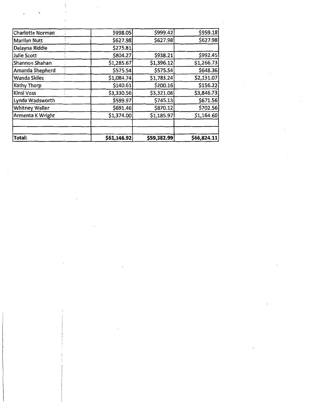| Total:                  | \$61,146.92 | \$59,382.99 | \$66,824.11 |
|-------------------------|-------------|-------------|-------------|
|                         |             |             |             |
| Armenta K Wright        | \$1,374.00  | \$1,185.97  | \$1,164.60  |
| <b>Whitney Waller</b>   | \$691.46    | \$870.12    | \$702.56    |
| Lynda Wadsworth         | \$599.97    | \$745.13    | \$671.56    |
| <b>Kinsi Voss</b>       | \$3,330.56  | \$3,321.06  | \$3,846.73  |
| <b>Kathy Thorp</b>      | \$140.61    | \$200.16    | \$156.22    |
| <b>Wanda Skiles</b>     | \$1,084.74  | \$1,783.24  | \$2,131.07  |
| Amanda Shepherd         | \$575.54    | \$575.54    | \$648.36    |
| Shannon Shahan          | \$1,285.67  | \$1,396.12  | \$1,266.73  |
| <b>Julie Scott</b>      | \$804.27    | \$938.21    | \$992.45    |
| Dalayna Riddle          | \$275.81    |             |             |
| <b>Marilyn Nutt</b>     | \$627.98    | \$627.98    | \$627.98    |
| <b>Charlotte Norman</b> | \$998.05    | \$999.42    | \$959.18    |

 $\sim$   $\sim$ 

 $\sim 10$ 

 $\frac{i}{4}$  $\bar{z}$ 

 $\sim$ 

 $\mathcal{L}$ 

 $\sim 10^{11}$ 

 $\sim 10^{-10}$ 

 $\mathcal{L}^{\mathcal{L}}(\mathcal{L}^{\mathcal{L}})$  .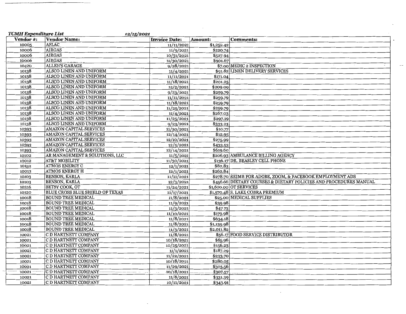| <b>TCMH Expenditure List</b><br>12/15/2021 |                                        |                      |            |                                                                   |  |  |  |
|--------------------------------------------|----------------------------------------|----------------------|------------|-------------------------------------------------------------------|--|--|--|
| <b>Vendor #:</b>                           | <b>Vendor Name:</b>                    | <b>Invoice Date:</b> | Amount:    | <b>Comments:</b>                                                  |  |  |  |
| 10005                                      | AFLAC                                  | 11/11/2021           | \$1,252.42 |                                                                   |  |  |  |
| 10006                                      | AIRGAS                                 | 11/9/2021            | \$220.74   |                                                                   |  |  |  |
| 10006                                      | <b>AIRGAS</b>                          | 10/31/2021           | \$527.94   |                                                                   |  |  |  |
| 10006                                      | <b>AIRGAS</b>                          | 11/30/2021           | \$901.67   |                                                                   |  |  |  |
| 10420                                      | ALLEN'S GARAGE                         | 9/28/2021            |            | $\sim$<br>\$7.00 MEDIC 2 INSPECTION                               |  |  |  |
| 10138                                      | <b>ALSCO LINEN AND UNIFORM</b>         | 11/4/2021            |            | \$91.82 LINEN DELIVERY SERVICES                                   |  |  |  |
| 10138                                      | ALSCO LINEN AND UNIFORM                | 11/11/2021           | \$171.04   |                                                                   |  |  |  |
| 10138                                      | ALSCO LINEN AND UNIFORM                | 11/18/2021           | \$201.25   |                                                                   |  |  |  |
| 10138                                      | ALSCO LINEN AND UNIFORM                | 12/2/2021            | \$209.09   |                                                                   |  |  |  |
| 10138                                      | ALSCO LINEN AND UNIFORM                | 9/23/2021            | \$259.79   |                                                                   |  |  |  |
| 10138                                      | ALSCO LINEN AND UNIFORM                | 11/11/2021           | \$259.79   |                                                                   |  |  |  |
| 10138                                      | ALSCO LINEN AND UNIFORM                | 11/18/2021           | \$259.79   |                                                                   |  |  |  |
| 10138                                      | ALSCO LINEN AND UNIFORM                | 11/25/2021           | \$259.79   |                                                                   |  |  |  |
| 10138                                      | ALSCO LINEN AND UNIFORM                | 11/4/2021            | \$267.03   |                                                                   |  |  |  |
| 10138                                      | ALSCO LINEN AND UNIFORM                | 11/25/2021           | \$297.19   |                                                                   |  |  |  |
| 10138                                      | ALSCO LINEN AND UNIFORM                | 9/23/2021            | \$333.23   |                                                                   |  |  |  |
| 10393                                      | <b>AMAZON CAPITAL SERVICES</b>         | 11/30/2021           | \$10.77    |                                                                   |  |  |  |
| 10393                                      | AMAZON CAPITAL SERVICES                | 12/14/2021           | \$12.95    |                                                                   |  |  |  |
| 10393                                      | <b>AMAZON CAPITAL SERVICES</b>         | 12/10/2021           | \$275.99   |                                                                   |  |  |  |
| 10393                                      | AMAZON CAPITAL SERVICES                | 12/5/2021            | \$433.53   |                                                                   |  |  |  |
| 10393                                      | <b>AMAZON CAPITAL SERVICES</b>         | 12/14/2021           | \$619.60   |                                                                   |  |  |  |
| 10102                                      | AR MANAGEMENT & SOLUTIONS, LLC         | 11/5/2021            |            | \$206.93 AMBULANCE BILLING AGENCY                                 |  |  |  |
| 10012                                      | <b>AT&amp;T MOBILITY</b>               | 11/30/2021           |            | \$136.17 DR. BEASLEY CELL PHONE                                   |  |  |  |
| 10152                                      | <b>ATMOS ENERGY C</b>                  | 12/1/2021            | \$82.83    |                                                                   |  |  |  |
| 10013                                      | <b>ATMOS ENERGY H</b>                  | 12/1/2021            | \$262.84   |                                                                   |  |  |  |
| 10103                                      | <b>BENSON, KARLA</b>                   | 11/11/2021           |            | \$278.70 REIMB FOR ADOBE, ZOOM, & FACEBOOK EMPLOYMENT ADS         |  |  |  |
| 10103                                      | <b>BENSON, KARLA</b>                   | 12/3/2021            |            | \$456.66 DIETARY COURSES & DIETARY POLICIES AND PROCEDURES MANUAL |  |  |  |
| 10316                                      | <b>BETSY COOK, OT</b>                  | 11/24/2021           |            | \$1,600.00 OT SERVICES                                            |  |  |  |
| 10120                                      | <b>BLUE CROSS BLUE SHIELD OF TEXAS</b> | 11/17/2021           |            | \$1,570.48 S. LAKE COBRA PREMIUM                                  |  |  |  |
| 10018                                      | <b>BOUND TREE MEDICAL</b>              | 11/8/2021            |            | \$25.00 MEDICAL SUPPLIES                                          |  |  |  |
| 10018                                      | <b>BOUND TREE MEDICAL</b>              | 11/9/2021            | \$39.98    |                                                                   |  |  |  |
| 10018                                      | <b>BOUND TREE MEDICAL</b>              | 11/3/2021            | \$47.73    |                                                                   |  |  |  |
| 10018                                      | <b>BOUND TREE MEDICAL</b>              | 11/10/2021           | \$179.98   |                                                                   |  |  |  |
| 10018                                      | <b>BOUND TREE MEDICAL</b>              | 11/8/2021            | \$634.18   |                                                                   |  |  |  |
| 10018                                      | <b>BOUND TREE MEDICAL</b>              | 11/8/2021            | \$1,139.98 |                                                                   |  |  |  |
| 10018                                      | <b>BOUND TREE MEDICAL</b>              | 11/3/2021            | \$2,011.82 |                                                                   |  |  |  |
| 10021                                      | C D HARTNETT COMPANY                   | 11/8/2021            |            | \$56.17 FOOD SERVICE DISTRIBUTOR                                  |  |  |  |
| 10021                                      | C D HARTNETT COMPANY                   | 10/18/2021           | \$65.96    |                                                                   |  |  |  |
| 10021                                      | C D HARTNETT COMPANY                   | 10/25/2021           | \$156.23   |                                                                   |  |  |  |
| 10021                                      | C D HARTNETT COMPANY                   | 11/1/2021            | \$187.29   |                                                                   |  |  |  |
| 10021                                      | C D HARTNETT COMPANY                   | 11/22/2021           | \$233.70   |                                                                   |  |  |  |
| 10021                                      | C D HARTNETT COMPANY                   | 10/18/2021           | \$280.05   |                                                                   |  |  |  |
| 10021                                      | C D HARTNETT COMPANY                   | 11/29/2021           | \$303.56   |                                                                   |  |  |  |
| 10021                                      | C D HARTNETT COMPANY                   | 10/18/2021           | \$307.57   |                                                                   |  |  |  |
| 10021                                      | C D HARTNETT COMPANY                   | 11/8/2021            | \$331.39   |                                                                   |  |  |  |
| 10021                                      | C D HARTNETT COMPANY                   | 10/11/2021           | \$343.91   |                                                                   |  |  |  |

 $\hat{\phantom{a}}$ 

 $\epsilon$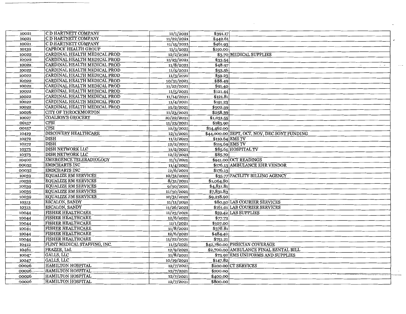| 10021 | C D HARTNETT COMPANY           | 11/1/2021  | \$391.17           |                                              |
|-------|--------------------------------|------------|--------------------|----------------------------------------------|
| 10021 | C D HARTNETT COMPANY           | 11/22/2021 | \$442.61           |                                              |
| 10021 | C D HARTNETT COMPANY           | 11/15/2021 | \$461.93           |                                              |
| 10139 | <b>CAPROCK HEALTH GROUP</b>    | 11/1/2021  | \$150.00           |                                              |
| 10022 | CARDINAL HEALTH MEDICAL PROD   | 12/2/2021  |                    | \$3.70 MEDICAL SUPPLIES                      |
| 10022 | CARDINAL HEALTH MEDICAL PROD   | 11/23/2021 | \$33.54            |                                              |
| 10022 | CARDINAL HEALTH MEDICAL PROD   | 11/8/2021  | \$48.97            | $\sim$<br>$\sim$                             |
| 10022 | CARDINAL HEALTH MEDICAL PROD   | 11/5/2021  | \$53.56            |                                              |
| 10022 | CARDINAL HEALTH MEDICAL PROD   | 11/3/2021  | \$59.23            |                                              |
| 10022 | CARDINAL HEALTH MEDICAL PROD   | 10/31/2021 | \$88.49            |                                              |
| 10022 | CARDINAL HEALTH MEDICAL PROD   | 11/22/2021 | \$91.40            |                                              |
| 10022 | CARDINAL HEALTH MEDICAL PROD   | 11/5/2021  | \$121.44           |                                              |
| 10022 | CARDINAL HEALTH MEDICAL PROD   | 11/14/2021 | \$121.81           |                                              |
| 10022 | CARDINAL HEALTH MEDICAL PROD   | 11/4/2021  | \$191.23           |                                              |
| 10022 | CARDINAL HEALTH MEDICAL PROD   | 12/2/2021  | \$902.59           |                                              |
| 10026 | <b>CITY OF THROCKMORTON</b>    | 11/23/2021 | \$258.39           |                                              |
| 10027 | <b>COALSON'S GROCERY</b>       | 10/22/2021 | \$1,031.55         |                                              |
| 00157 | <b>CPSI</b>                    | 11/23/2021 | $\frac{1}{183.90}$ |                                              |
| 00157 | <b>CPSI</b>                    | 12/3/2021  | \$14,462.00        |                                              |
| 10419 | <b>DISCOVERY HEALTHCARE</b>    | 12/1/2021  |                    | \$44,000.00 SEPT, OCT, NOV, DEC SONT FUNDING |
| 10272 | <b>DISH</b>                    | 11/2/2021  |                    | \$110.64 EMS TV                              |
| 10272 | <b>DISH</b>                    | 12/2/2021  |                    | \$115.69 EMS TV                              |
| 10373 | <b>DISH NETWORK LLC</b>        | 11/2/2021  |                    | \$85.65 HOSPITAL TV                          |
| 10373 | <b>DISH NETWORK LLC</b>        | 12/2/2021  | \$85.70            |                                              |
| 10400 | <b>EMERGENCE TELERADIOLOGY</b> | 11/1/2021  |                    | \$941.00 OCT READINGS                        |
| 00032 | <b>EMSCHARTS INC</b>           | 11/4/2021  |                    | \$176.13 AMBULANCE EHR VENDOR                |
| 00032 | <b>EMSCHARTS INC</b>           | 12/6/2021  | \$176.13           |                                              |
| 10039 | <b>EQUALIZE RM SERVICES</b>    | 10/31/2021 |                    | \$35.77 FACILITY BILLING AGENCY              |
| 10039 | <b>EQUALIZE RM SERVICES</b>    | 8/31/2021  | \$1,064.80         |                                              |
| 10039 | <b>EQUALIZE RM SERVICES</b>    | 9/30/2021  | \$4,831.81         |                                              |
| 10039 | <b>EQUALIZE RM SERVICES</b>    | 11/30/2021 | \$7,831.83         |                                              |
| 10039 | <b>EQUALIZE RM SERVICES</b>    | 10/31/2021 | \$9,218.90         |                                              |
| 10313 | <b>ESCALON, SANDY</b>          | 11/11/2021 |                    | \$80.50 LAB COURIER SERVICES                 |
| 10313 | <b>ESCALON, SANDY</b>          | 11/26/2021 |                    | \$161.01 LAB COURIER SERVICES                |
| 10044 | <b>FISHER HEALTHCARE</b>       | 11/23/2021 |                    | \$59.42 LAB SUPPLIES                         |
| 10044 | <b>FISHER HEALTHCARE</b>       | 12/6/2021  | \$77.73            |                                              |
| 10044 | <b>FISHER HEALTHCARE</b>       | 11/1/2021  | \$107.00           |                                              |
| 10044 | <b>FISHER HEALTHCARE</b>       | 11/8/2021  | \$378.81           |                                              |
| 10044 | <b>FISHER HEALTHCARE</b>       | 12/6/2021  | \$484.40           |                                              |
| 10044 | <b>FISHER HEALTHCARE</b>       | 11/22/2021 | \$751.21           |                                              |
| 10412 | FLINT MEDICAL STAFFING, INC.   | 11/5/2021  |                    | \$42,780.00 PHSICIAN COVERAGE                |
| 10461 | FRAZER, Ltd.                   | 12/9/2021  |                    | \$2,700.00 AMBULANCE FINAL RENTAL BILL       |
| 10047 | GALLS, LLC                     | 11/8/2021  |                    | \$73.92 EMS UNIFORMS AND SUPPLIES            |
| 10047 | GALLS, LLC                     | 10/19/2021 | \$147.82           |                                              |
| 00026 | <b>HAMILTON HOSPITAL</b>       | 12/7/2021  |                    | \$200.00 CT SERVICES                         |
| 00026 | <b>HAMILTON HOSPITAL</b>       | 12/7/2021  | \$200.00           |                                              |
| 00026 | <b>HAMILTON HOSPITAL</b>       | 12/7/2021  | \$400.00           |                                              |
| 00026 | <b>HAMILTON HOSPITAL</b>       | 12/7/2021  | \$800.00           |                                              |

 $\sim$ 

 $\cdots$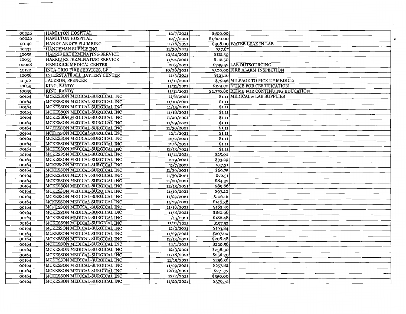| 00026 | <b>HAMILTON HOSPITAL</b>           | 12/7/2021  | \$800.00   |                                           |                      |
|-------|------------------------------------|------------|------------|-------------------------------------------|----------------------|
| 00026 | HAMILTON HOSPITAL                  | 12/7/2021  | \$1,600.00 |                                           | $\pmb{\mathsf{b}}^t$ |
| 00140 | HANDY ANDY'S PLUMBING              | 11/16/2021 |            | \$308.00 WATER LEAK IN LAB                |                      |
| 10431 | HANDYMAN SUPPLY INC.               | 11/30/2021 | \$37.67    |                                           |                      |
| 10055 | HARRIS EXTERMINATING SERVICE       | 10/24/2021 | \$112.50   |                                           |                      |
| 10055 | HARRIS EXTERMINATING SERVICE       | 11/24/2021 | \$112.50   |                                           |                      |
| 00028 | <b>HENDRICK MEDICAL CENTER</b>     | 12/3/2021  |            | \$799.52 LAB OUTSOURCING<br>$\sim$        |                      |
| 10122 | <b>INCA-TRIO FIRE SERVICES, LP</b> | 10/28/2021 |            | \$300.00 FIRE ALARM INSPECTION            |                      |
| 10058 | INTERSTATE ALL BATTERY CENTER      | 11/3/2021  | \$121.16   |                                           |                      |
| 10312 | <b>JACKSON, SPENCER</b>            | 11/11/2021 |            | \$79.46 MILEAGE TO PICK UP MEDIC 2        |                      |
| 10059 | KING, RANDY                        | 11/11/2021 |            | \$129.00 REIMB FOR CERTIFICATION          |                      |
| 10059 | KING, RANDY                        | 11/11/2021 |            | \$2,370.80 REIMB FOR CONTINUING EDUCATION |                      |
| 00164 | MCKESSON MEDICAL-SURGICAL INC      | 11/8/2021  |            | \$1.11 MEDICAL & LAB SUPPLIES             |                      |
| 00164 | MCKESSON MEDICAL-SURGICAL INC      | 11/10/2021 | \$1.11     |                                           |                      |
| 00164 | MCKESSON MEDICAL-SURGICAL INC      | 11/15/2021 | \$1.11     |                                           |                      |
| 00164 | MCKESSON MEDICAL-SURGICAL INC      | 11/18/2021 | \$1.11     |                                           |                      |
| 00164 | MCKESSON MEDICAL-SURGICAL INC      | 11/20/2021 | \$1.11     |                                           |                      |
| 00164 | MCKESSON MEDICAL-SURGICAL INC      | 11/29/2021 | \$1.11     |                                           |                      |
| 00164 | MCKESSON MEDICAL-SURGICAL INC      | 11/30/2021 | \$1.11     |                                           |                      |
| 00164 | MCKESSON MEDICAL-SURGICAL INC      | 12/1/2021  | \$1.11     |                                           |                      |
| 00164 | MCKESSON MEDICAL-SURGICAL INC      | 12/2/2021  | \$1.11     |                                           |                      |
| 00164 | MCKESSON MEDICAL-SURGICAL INC      | 12/6/2021  | \$1.11     |                                           |                      |
| 00164 | MCKESSON MEDICAL-SURGICAL INC      | 12/13/2021 | \$1.11     |                                           |                      |
| 00164 | MCKESSON MEDICAL-SURGICAL INC      | 11/11/2021 | \$25.00    |                                           |                      |
| 00164 | MCKESSON MEDICAL-SURGICAL INC      | 12/9/2021  | \$33.29    |                                           |                      |
| 00164 | MCKESSON MEDICAL-SURGICAL INC      | 11/7/2021  | \$57.31    |                                           |                      |
| 00164 | MCKESSON MEDICAL-SURGICAL INC      | 11/29/2021 | \$69.75    |                                           |                      |
| 00164 | MCKESSON MEDICAL-SURGICAL INC      | 11/30/2021 | \$72.51    |                                           |                      |
| 00164 | MCKESSON MEDICAL-SURGICAL INC      | 11/20/2021 | \$84.32    |                                           |                      |
| 00164 | MCKESSON MEDICAL-SURGICAL INC      | 12/13/2021 | \$89.66    |                                           |                      |
| 00164 | MCKESSON MEDICAL-SURGICAL INC      | 11/10/2021 | \$93.20    |                                           |                      |
| 00164 | MCKESSON MEDICAL-SURGICAL INC      | 11/29/2021 | \$106.16   |                                           |                      |
| 00164 | MCKESSON MEDICAL-SURGICAL INC      | 11/29/2021 | \$146.38   |                                           |                      |
| 00164 | MCKESSON MEDICAL-SURGICAL INC      | 11/18/2021 | \$163.29   |                                           |                      |
| 00164 | MCKESSON MEDICAL-SURGICAL INC      | 11/8/2021  | \$180.66   |                                           |                      |
| 00164 | MCKESSON MEDICAL-SURGICAL INC      | 11/15/2021 | \$186.48   |                                           |                      |
| 00164 | MCKESSON MEDICAL-SURGICAL INC      | 11/11/2021 | \$197.52   |                                           |                      |
| 00164 | MCKESSON MEDICAL-SURGICAL INC      | 12/2/2021  | \$199.84   |                                           |                      |
| 00164 | MCKESSON MEDICAL-SURGICAL INC      | 11/29/2021 | \$207.60   |                                           |                      |
| 00164 | MCKESSON MEDICAL-SURGICAL INC      | 12/13/2021 | \$208.48   |                                           |                      |
| 00164 | MCKESSON MEDICAL-SURGICAL INC      | 12/1/2021  | \$220.56   |                                           |                      |
| 00164 | MCKESSON MEDICAL-SURGICAL INC      | 12/3/2021  | \$238.30   |                                           |                      |
| 00164 | MCKESSON MEDICAL-SURGICAL INC      | 11/18/2021 | \$256.20   |                                           |                      |
| 00164 | MCKESSON MEDICAL-SURGICAL INC      | 11/15/2021 | \$256.36   |                                           |                      |
| 00164 | MCKESSON MEDICAL-SURGICAL INC      | 11/29/2021 | \$257.82   |                                           |                      |
| 00164 | MCKESSON MEDICAL-SURGICAL INC      | 12/13/2021 | \$271.77   |                                           |                      |
| 00164 | MCKESSON MEDICAL-SURGICAL INC      | 12/2/2021  | \$350.00   |                                           |                      |
| 00164 | MCKESSON MEDICAL-SURGICAL INC      | 11/29/2021 | \$370.72   |                                           |                      |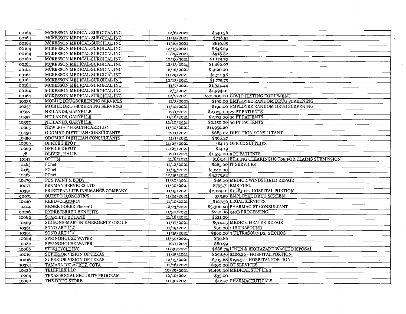| 00164 | MCKESSON MEDICAL-SURGICAL INC    | 12/6/2021  | \$540.36                                             |
|-------|----------------------------------|------------|------------------------------------------------------|
| 00164 | MCKESSON MEDICAL-SURGICAL INC    | 11/15/2021 | \$736.51                                             |
| 00164 | MCKESSON MEDICAL-SURGICAL INC    | 11/16/2021 | \$810.85                                             |
| 00164 | MCKESSON MEDICAL-SURGICAL INC    | 12/13/2021 | \$848.69                                             |
| 00164 | MCKESSON MEDICAL-SURGICAL INC    | 11/29/2021 | \$918.82                                             |
| 00164 | MCKESSON MEDICAL-SURGICAL INC    | 12/13/2021 | \$1,179.70                                           |
| 00164 | MCKESSON MEDICAL-SURGICAL INC    | 12/13/2021 | \$1,486.07                                           |
| 00164 | MCKESSON MEDICAL-SURGICAL INC    | 12/12/2021 | \$1,620.00                                           |
| 00164 | MCKESSON MEDICAL-SURGICAL INC    | 11/29/2021 | \$1,711.38                                           |
| 00164 | MCKESSON MEDICAL-SURGICAL INC    | 12/13/2021 | \$1,775.75                                           |
| 00164 | MCKESSON MEDICAL-SURGICAL INC    | 11/7/2021  | \$1,924.44                                           |
| 00164 | MCKESSON MEDICAL-SURGICAL INC    | 12/5/2021  | \$1,994.01                                           |
| 00164 | MCKESSON MEDICAL-SURGICAL INC    | 12/2/2021  | \$20,000.00 COVID TESTING EQUIPMENT                  |
| 10235 | MOBILE DRUGSCREENING SERVICES    | 11/3/2021  | \$190.00 EMPLOYEE RANDOM DRUG SCREENING              |
| 10235 | MOBILE DRUGSCREENING SERVICES    | 11/12/2021 | \$190.00 EMPLOYEE RANDOM DRUG SCREENING              |
| 10397 | NEILANDS, GARYELLE               | 12/1/2021  | \$2,025.00 27 PT PATIENTS                            |
| 10397 | NEILANDS, GARYELLE               | 11/16/2021 | \$2,175.00 29 PT PATIENTS                            |
| 10397 | NEILANDS, GARYELLE               | 12/10/2021 | \$2,250.00 30 PT PATIENTS                            |
| 10065 | NEWLIGHT HEALTHCARE LLC          | 11/30/2021 | \$11,952.20                                          |
| 10450 | ODOMRD DIETITIAN CONSULTANTS     | 12/1/2021  | \$685.02 DIETITION CONSULTANT                        |
| 10450 | ODOMRD DIETITIAN CONSULTANTS     | 11/1/2021  | \$966.27                                             |
| 10069 | <b>OFFICE DEPOT</b>              | 11/23/2021 | -\$4.13 OFFICE SUPPLIES                              |
| 10069 | <b>OFFICE DEPOT</b>              | 11/23/2021 | \$14.19                                              |
| 78    | OLIVER, HALIE                    | 12/1/2021  | $$1,575.00$ 9 PT PATIENTS                            |
| 10141 | OPTUM                            | 11/8/2021  | \$183.44 BILLING CLEARINGHOUSE FOR CLAIMS SUBMISSION |
| 10463 | PCnet                            | 11/12/2021 | \$285.00 IT SERVICES                                 |
| 10463 | PCnet                            | 11/15/2021 | \$1,240.00                                           |
| 10463 | PCnet                            | 12/15/2021 | \$5,375.52                                           |
| 10470 | PC'S PAINT & BODY                | 11/30/2021 | \$45.00 MEDIC 2 WINDSHIELD REPAIR                    |
| 10071 | PENMAN SERVICES LTD              | 11/30/2021 | \$793.71 EMS FUEL                                    |
| 10391 | PRINCIPAL LIFE INSURANCE COMPANY | 11/15/2021 | \$2,129.01 \$1,385.12 - HOSPITAL PORTION             |
| 00071 | <b>QUEST DIAGNOSTICS</b>         | 11/24/2021 | \$35.50 EMPLOYEE DRUG SCREEN                         |
| 10440 | <b>REED+CLAYMON</b>              | 11/10/2021 | \$127.50 LEGAL SERVICES                              |
| 10404 | <b>RENEE GOBER PharmD</b>        | 12/13/2021 | \$3,300.00 PHARMACIST CONSULTANT                     |
| 00176 | <b>RXPREFERRED BENEFITS</b>      | 11/30/2021 | \$250.00 340B PROCESSING                             |
| 10082 | <b>SCARLETT BUTANE</b>           | 11/18/2021 | \$621.00                                             |
| 10469 | SIDDONS-MARTIN EMERGENCY GROUP   | 11/17/2021 | \$914.25 MEDIC 2 HEATER REPAIR                       |
| 10361 | SONO ART LLC                     | 11/19/2021 | \$90.00 1 ULTRASOUND                                 |
| 10361 | <b>SONO ART LLC</b>              | 11/15/2021 | \$860.00 3 ULTRASOUNDS, 2 ECHOS                      |
| 10084 | <b>SPRINGHOUSE WATER</b>         | 11/30/2021 | \$30.86                                              |
| 10084 | SPRINGHOUSE WATER                | 12/1/2021  | \$80.99                                              |
| 10086 | <b>STERICYCLE INC</b>            | 11/30/2021 | \$688.75 LINEN & BIOHAZARD WASTE DISPOSAL            |
| 10016 | <b>SUPERIOR VISION OF TEXAS</b>  | 11/15/2021 | \$298.36 \$200.26 - HOSPITAL PORTION                 |
| 10016 | <b>SUPERIOR VISION OF TEXAS</b>  | 12/15/2021 | \$303.68 \$194.37 - HOSPITAL PORTION                 |
| 10375 | TAMARA DELACRUZ, COTA            | 11/16/2021 | \$300.00 OT SERVICES                                 |
| 10428 | <b>TELEFLEX LLC</b>              | 10/29/2021 | \$1,406.00 MEDICAL SUPPLIES                          |
| 10204 | TEXAS SOCIAL SECURITY PROGRAM    | 12/10/2021 | \$35.00                                              |
| 10090 | THE DRUG STORE                   | 11/30/2021 | \$12.97 PHARMACEUTICALS                              |

 $\label{eq:2.1} \frac{1}{\sqrt{2}}\int_{\mathbb{R}^3}\frac{1}{\sqrt{2}}\left(\frac{1}{\sqrt{2}}\right)^2\frac{1}{\sqrt{2}}\left(\frac{1}{\sqrt{2}}\right)^2\frac{1}{\sqrt{2}}\left(\frac{1}{\sqrt{2}}\right)^2.$ 

 $\mathcal{L}_{\mathcal{A}}$ 

 $\mathcal{O}(\mathcal{O}_\mathcal{O})$ 

 $\Delta$ 

 $\sim$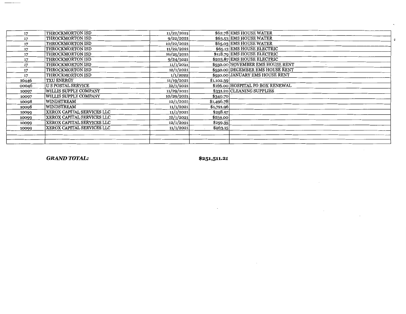| 17    | THROCKMORTON ISD             | 11/22/2021 | \$62.78 EMS HOUSE WATER          |
|-------|------------------------------|------------|----------------------------------|
| 17    | THROCKMORTON ISD             | 9/22/2021  | \$63.53 EMS HOUSE WATER          |
| 17    | THROCKMORTON ISD             | 10/22/2021 | \$65.03 EMS HOUSE WATER          |
| 17    | THROCKMORTON ISD             | 11/22/2021 | \$65.13 EMS HOUSE ELECTRIC       |
| 17    | THROCKMORTON ISD             | 10/25/2021 | \$118.79 EMS HOUSE ELECTRIC      |
| 17    | THROCKMORTON ISD             | 9/24/2021  | \$203.87 EMS HOUSE ELECTRIC      |
| 17    | THROCKMORTON ISD             | 11/1/2021  | \$550.00 NOVEMBER EMS HOUSE RENT |
| 17    | THROCKMORTON ISD             | 12/1/2021  | \$550.00 DECEMBER EMS HOUSE RENT |
| 17    | THROCKMORTON ISD             | 1/1/2022   | \$550.00 JANUARY EMS HOUSE RENT  |
| 10446 | <b>TXU ENERGY</b>            | 11/19/2021 | \$1,102.39                       |
| 00046 | <b>U S POSTAL SERVICE</b>    | 12/1/2021  | \$166.00 HOSPITAL PO BOX RENEWAL |
| 10097 | WILLIS SUPPLY COMPANY        | 11/29/2021 | \$331.20 CLEANING SUPPLIES       |
| 10097 | <b>WILLIS SUPPLY COMPANY</b> | 10/29/2021 | \$340.70                         |
| 10098 | <b>WINDSTREAM</b>            | 12/1/2021  | \$1,496.78                       |
| 10098 | <b>WINDSTREAM</b>            | 11/1/2021  | \$1,721.96                       |
| 10099 | XEROX CAPITAL SERVICES LLC   | 11/1/2021  | \$258.97                         |
| 10099 | XEROX CAPITAL SERVICES LLC   | 12/1/2021  | \$259.00                         |
| 10099 | XEROX CAPITAL SERVICES LLC   | 12/1/2021  | \$259.35                         |
| 10099 | XEROX CAPITAL SERVICES LLC   | 11/1/2021  | \$263.15                         |
|       |                              |            |                                  |
|       |                              |            |                                  |
|       |                              |            |                                  |

 $\mathbf{c}$ 

*GRAND TOTAL:* **\$251,511.21**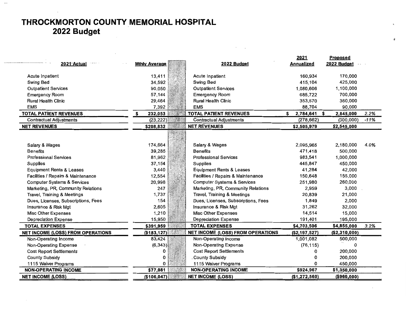### **THROCKMORTON COUNTY MEMORIAL HOSPITAL 2022 Budget**

|                                        |                      |                                          | 2021              | Proposed        |        |
|----------------------------------------|----------------------|------------------------------------------|-------------------|-----------------|--------|
| 2021 Actual                            | <b>Mthly Average</b> | 2022 Budget                              | <b>Annualized</b> | 2022 Budget     |        |
|                                        |                      |                                          |                   |                 |        |
| Acute Inpatient                        | 13,411               | Acute Inpatient                          | 160,934           | 170,000         |        |
| Swing Bed                              | 34,592               | Swing Bed                                | 415,104           | 425,000         |        |
| <b>Outpatient Services</b>             | 90,050               | <b>Outpatient Services</b>               | 1,080,606         | 1,100,000       |        |
| <b>Emergency Room</b>                  | 57,144               | <b>Emergency Room</b>                    | 685,722           | 700,000         |        |
| <b>Rural Health Clinic</b>             | 29,464               | <b>Rural Health Clinic</b>               | 353,570           | 360,000         |        |
| <b>EMS</b>                             | 7,392                | <b>EMS</b>                               | 88,704            | 90,000          |        |
| <b>TOTAL PATIENT REVENUES</b>          | 232,053<br>S         | <b>TOTAL PATIENT REVENUES</b>            | 2,784,641<br>S    | 2,845,000<br>-S | 2.2%   |
| <b>Contractual Adjustments</b>         | (23, 222)            | <b>Contractual Adjustments</b>           | (278, 662)        | (300, 000)      | $-11%$ |
| <b>NET REVENUES</b>                    | \$208,832            | <b>NET REVENUES</b>                      | \$2,505,979       | \$2,545,000     |        |
|                                        |                      |                                          |                   |                 |        |
|                                        |                      |                                          |                   |                 | 4.0%   |
| Salary & Wages                         | 174,664              | Salary & Wages                           | 2,095,965         | 2,180,000       |        |
| <b>Benefits</b>                        | 39,285               | <b>Benefits</b>                          | 471,418           | 500,000         |        |
| <b>Professional Services</b>           | 81,962               | <b>Professional Services</b>             | 983,541           | 1,000,000       |        |
| <b>Supplies</b>                        | 37,154               | <b>Supplies</b>                          | 445,847           | 450,000         |        |
| <b>Equipment Rents &amp; Leases</b>    | 3,440                | <b>Equipment Rents &amp; Leases</b>      | 41,284            | 42,000          |        |
| Facilities / Repairs & Maintenance     | 12,554               | Facilities / Repairs & Maintenance       | 150,648           | 155,000         |        |
| <b>Computer Systems &amp; Services</b> | 20,998               | <b>Computer Systems &amp; Services</b>   | 251,980           | 260,000         |        |
| Marketing, PR, Community Relations     | 247                  | Marketing, PR, Community Relations       | 2,959             | 3,000           |        |
| Travel, Training & Meetings            | 1,737                | Travel, Training & Meetings              | 20,839            | 21,000          |        |
| Dues, Licenses, Subscriptions, Fees    | 154                  | Dues, Licenses, Subscriptions, Fees      | 1,849             | 2,000           |        |
| Insurance & Risk Mgt                   | 2,605                | Insurance & Risk Mgt                     | 31,262            | 32,000          |        |
| Misc Other Expenses                    | 1,210                | <b>Misc Other Expenses</b>               | 14,514            | 15,000          |        |
| Depreciation Expense                   | 15,950               | <b>Depreciation Expense</b>              | 191,401           | 195,000         |        |
| <b>TOTAL EXPENSES</b>                  | \$391,959            | <b>TOTAL EXPENSES</b>                    | \$4,703,506       | \$4,855,000     | 3.2%   |
| NET INCOME (LOSS) FROM OPERATIONS      | (\$183, 127)         | <b>NET INCOME (LOSS) FROM OPERATIONS</b> | (\$2,197,527)     | (\$2,310,000)   |        |
| Non-Operating Income                   | 83,424               | Non-Operating Income                     | 1,001,082         | 500,000         |        |
| Non-Operating Expense                  | (6, 343)             | Non-Operating Expense                    | (76, 115)         | 0               |        |
| <b>Cost Report Settlements</b>         |                      | <b>Cost Report Settlements</b>           | 0                 | 200,000         |        |
| <b>County Subsidy</b>                  | 0                    | <b>County Subsidy</b>                    | <sup>0</sup>      | 200,000         |        |
| 1115 Waiver Programs                   |                      | 1115 Waiver Programs                     | 0                 | 450,000         |        |
| <b>NON-OPERATING INCOME</b>            | \$77,081             | <b>NON-OPERATING INCOME</b>              | \$924,967         | \$1,350,000     |        |
| <b>NET INCOME (LOSS)</b>               | (\$106, 047)         | <b>NET INCOME (LOSS)</b>                 | (\$1,272,560)     | (\$960,000)     |        |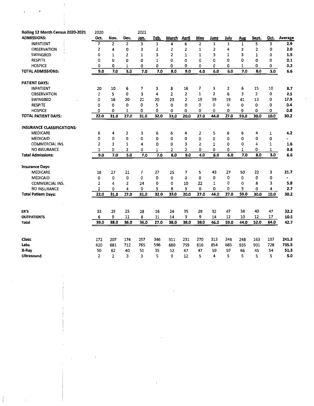| Rolling 12 Month Census 2020-2021         | 2020           |                |                | 2021 |              |                |                |                |                |              |                |                |      |                |
|-------------------------------------------|----------------|----------------|----------------|------|--------------|----------------|----------------|----------------|----------------|--------------|----------------|----------------|------|----------------|
| <b>ADMISSIONS:</b>                        | Oct.           | Nov.           | Dec.           | Jan. | Feb.         | March          | April          | May            | June           | July         | Aug            | Sept.          | Oct. | Average        |
| <b>INPATIENT</b>                          | $\overline{7}$ | $\overline{2}$ | $\overline{2}$ | 3    | $\mathbf{1}$ | 4              | 6              | $\overline{2}$ | $\mathbf{1}$   | $\mathbf{1}$ | $\mathbf{1}$   | 5              | 3    | 2.9            |
| <b>OBSERVATION</b>                        | 2              | 4              | 0              | 3    | 2            | $\overline{2}$ | 2              | 1              | 2              | 4            | $\overline{2}$ | 2              | 0    | 2.0            |
| <b>SWINGBED</b>                           | 0              | 1              | $\overline{2}$ | 1    | 3            | 2              | $\mathbf{1}$   | 1              | 3              | 1            | 3              | 1              | 0    | $1.5\,$        |
| <b>RESPITE</b>                            | 0              | $\Omega$       | 0              | 0    | 1            | $\Omega$       | 0              | 0              | 0              | 0            | 0              | 0              | 0    | 0.1            |
| <b>HOSPICE</b>                            | 0              | 0              | 1              | 0    | 0            | 0              | 0              | 0              | 0              | 0            | 1              | 0              | 0    | 0.2            |
| <b>TOTAL ADMISSIONS:</b>                  | 9.0            | 7.0            | 5.0            | 7.0  | 7.0          | 8.0            | 9.0            | 4.0            | 6.0            | 6.0          | 7.0            | 8.0            | 3.0  | 6.6            |
| <b>PATIENT DAYS:</b>                      |                |                |                |      |              |                |                |                |                |              |                |                |      |                |
| <b>INPATIENT</b>                          | 20             | 10             | 6              | 7    | з            | 8              | 16             | 7              | 3              | 2            | 6              | 15             | 10   | 8.7            |
| <b>OBSERVATION</b>                        | 2              | 5              | $\Omega$       | 3    | 4            | $\overline{2}$ | 2              | 1              | $\overline{2}$ | 6            | 3              | $\overline{2}$ | 0    | 2.5            |
| <b>SWINGBED</b>                           | 0              | 16             | 20             | 21   | 20           | 23             | $\overline{2}$ | 19             | 39             | 19           | 41             | 13             | 0    | 17.9           |
| <b>RESPITE</b>                            | 0              | 0              | 0              | 0    | 5            | 0              | 0              | 0              | 0              | 0            | 0              | 0              | 0    | 0.4            |
| <b>HOSPICE</b>                            | 0              | 0              | 1              | ٥    | 0            | 0              | 0              | 0              | 0              | 0            | 9              | 0,             | 0    | 0.8            |
| <b>TOTAL PATIENT DAYS:</b>                | 22.0           | 31.0           | 27.0           | 31.0 | 32.0         | 33.0           | 20.0           | 27.0           | 44.0           | 27.0         | 59.0           | 30.0           | 10.0 | 30.2           |
| <b>INSURANCE CLASSIFICATIONS:</b>         |                |                |                |      |              |                |                |                |                |              |                |                |      |                |
| <b>MEDICARE</b>                           | 6              | 4              | 2              | з    | 6            | 6              | 4              | 2              | 5              | 6            | 6              | 4              | 1    | 4.2            |
| <b>MEDICAID</b>                           | 0              | 0              | 0              | 0    | 0            | 0              | 0              | 0              | 0              | 0            | 0              | 0              | 0    |                |
| <b>COMMERCIAL INS.</b>                    | $\overline{2}$ | 3              | 1              | 4    | 0            | 0              | 3              | 2              | 1              | 0            | 0              | 4              | 1    | 1.6            |
| <b>NO INSURANCE</b>                       | 1              | 0              | 2              | 0    | 1            | 2              | 2              | 0              | 0              | 0            | 1              | 0              | 1    | 0.8            |
| <b>Total Admissions:</b>                  | 9.0            | 7.0            | 5.0            | 7.0  | 7.0          | 8.0            | 9.0            | 4.0            | 6.0            | 6.0          | 7.0            | 8.0            | 3.0  | 6.6            |
|                                           |                |                |                |      |              |                |                |                |                |              |                |                |      |                |
| <b>Insurance Days:</b><br><b>MEDICARE</b> | 18             | 27             | 21             | 7    | 27           | 25             | 7              | 5              | 43             | 27           | 50             | 22             | 3    | 21.7           |
| <b>MEDICAID</b>                           | 0              | $\mathbf{0}$   | 0              | 0    | 0            | 0              | 0              | 0              | 0              | 0            | 0              | 0              | 0    | $\blacksquare$ |
| <b>COMMERCIAL INS.</b>                    | 2              | 4              | $\overline{2}$ | 24   | 0            | 0              | 10             | 22             | 1              | 0            | 0              | 8              | 3    | 5.8            |
| <b>NO INSURANCE</b>                       | $\overline{2}$ | 0              | 4              | 0    | 5            | 8              | 3              | 0              | 0              | 0            | 9              | 0              | 4    | 2.7            |
| <b>Total Patient Days:</b>                | 22.0           | 31.0           | 27.0           | 31.0 | 32.0         | 33.0           | 20.0           | 27.0           | 44.0           | 27.0         | 59.0           | 30.0           | 10.0 | 30.2           |
|                                           |                |                |                |      |              |                |                |                |                |              |                |                |      |                |
| ER'S                                      | 33             | 29             | 25             | 28   | 16           | 24             | 35             | 29             | 32             | 47           | 34             | 40             | 47   | 32.2           |
| <b>OUTPATIENTS</b>                        | 6              | 9              | 11             | 8    | 11           | 14             | 3              | 9              | 14             | 12           | 10             | 12             | 17   | 10.5           |
| <b>Total</b>                              | 39.0           | 38.0           | 36.0           | 36.0 | 27.0         | 38.0           | 38.0           | 38.0           | 46.0           | 59.0         | 44.0           | 52.0           | 64.0 | 42.7           |
|                                           |                |                |                |      |              |                |                |                |                |              |                |                |      |                |
| <b>Clinic</b>                             | 172            | 207            | 174            | 257  | 346          | 311            | 231            | 270            | 313            | 248          | 248            | 163            | 197  | 241.3          |
| Labs                                      | 620            | 681            | 712            | 765  | 596          | 680            | 759            | 616            | 854            | 685          | 935            | 931            | 728  | 735.5          |
| X-Ray                                     | 50             | 62             | 40             | 51   | 35           | 52             | 47             | 47             | 59             | 59           | 66             | 45             | 54   | 51.3           |
| <b>Ultrasound</b>                         | 2              | $\overline{2}$ | 3              | 3    | 5            | 9              | 12             | 5              | 4              | 5            | 5              | 5              | 5    | 5.0            |

 $\mathcal{L}$ 

 $\frac{1}{2}$ 

 $\hat{\mathcal{L}}$ 

 $\overline{\phantom{a}}$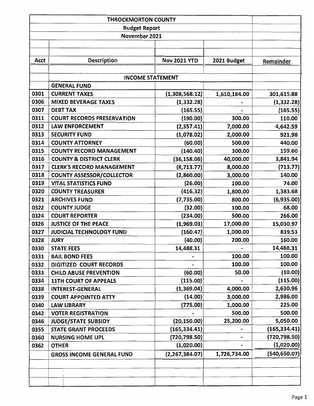| Acct | Description                        | <b>Nov 2021 YTD</b> | 2021 Budget  | Remainder     |  |  |  |  |
|------|------------------------------------|---------------------|--------------|---------------|--|--|--|--|
|      |                                    |                     |              |               |  |  |  |  |
|      | <b>INCOME STATEMENT</b>            |                     |              |               |  |  |  |  |
|      | <b>GENERAL FUND</b>                |                     |              |               |  |  |  |  |
| 0301 | <b>CURRENT TAXES</b>               | (1,308,568.12)      | 1,610,184.00 | 301,615.88    |  |  |  |  |
| 0306 | <b>MIXED BEVERAGE TAXES</b>        | (1, 332.28)         |              | (1,332.28)    |  |  |  |  |
| 0307 | <b>DEBT TAX</b>                    | (165.55)            |              | (165.55)      |  |  |  |  |
| 0311 | <b>COURT RECORDS PRESERVATION</b>  | (190.00)            | 300.00       | 110.00        |  |  |  |  |
| 0312 | <b>LAW ENFORCEMENT</b>             | (2,357.41)          | 7,000.00     | 4,642.59      |  |  |  |  |
| 0313 | <b>SECURITY FUND</b>               | (1,078.02)          | 2,000.00     | 921.98        |  |  |  |  |
| 0314 | <b>COUNTY ATTORNEY</b>             | (60.00)             | 500.00       | 440.00        |  |  |  |  |
| 0315 | <b>COUNTY RECORD MANAGEMENT</b>    | (140.40)            | 300.00       | 159.60        |  |  |  |  |
| 0316 | <b>COUNTY &amp; DISTRICT CLERK</b> | (36, 158.06)        | 40,000.00    | 3,841.94      |  |  |  |  |
| 0317 | <b>CLERK'S RECORD MANAGEMENT</b>   | (8,713.77)          | 8,000.00     | (713.77)      |  |  |  |  |
| 0318 | <b>COUNTY ASSESSOR/COLLECTOR</b>   | (2,860.00)          | 3,000.00     | 140.00        |  |  |  |  |
| 0319 | <b>VITAL STATISTICS FUND</b>       | (26.00)             | 100.00       | 74.00         |  |  |  |  |
| 0320 | <b>COUNTY TREASURER</b>            | (416.32)            | 1,800.00     | 1,383.68      |  |  |  |  |
| 0321 | <b>ARCHIVES FUND</b>               | (7, 735.00)         | 800.00       | (6,935.00)    |  |  |  |  |
| 0322 | <b>COUNTY JUDGE</b>                | (32.00)             | 100.00       | 68.00         |  |  |  |  |
| 0324 | <b>COURT REPORTER</b>              | (234.00)            | 500.00       | 266.00        |  |  |  |  |
| 0326 | <b>JUSTICE OF THE PEACE</b>        | (1,969.03)          | 17,000.00    | 15,030.97     |  |  |  |  |
| 0327 | <b>JUDICIAL TECHNOLOGY FUND</b>    | (160.47)            | 1,000.00     | 839.53        |  |  |  |  |
| 0328 | <b>JURY</b>                        | (40.00)             | 200.00       | 160.00        |  |  |  |  |
| 0330 | <b>STATE FEES</b>                  | 14,488.31           |              | 14,488.31     |  |  |  |  |
| 0331 | <b>BAIL BOND FEES</b>              |                     | 100.00       | 100.00        |  |  |  |  |
| 0332 | DIGITIZED COURT RECORDS            |                     | 100.00       | 100.00        |  |  |  |  |
| 0333 | <b>CHILD ABUSE PREVENTION</b>      | (60.00)             | 50.00        | (10.00)       |  |  |  |  |
| 0334 | <b>11TH COURT OF APPEALS</b>       | (115.00)            |              | (115.00)      |  |  |  |  |
| 0338 | <b>INTEREST-GENERAL</b>            | (1,369.04)          | 4,000.00     | 2,630.96      |  |  |  |  |
| 0339 | <b>COURT APPOINTED ATTY</b>        | (14.00)             | 3,000.00     | 2,986.00      |  |  |  |  |
| 0340 | <b>LAW LIBRARY</b>                 | (775.00)            | 1,000.00     | 225.00        |  |  |  |  |
| 0342 | <b>VOTER REGISTRATION</b>          |                     | 500.00       | 500.00        |  |  |  |  |
| 0346 | <b>JUDGE/STATE SUBSIDY</b>         | (20, 150.00)        | 25,200.00    | 5,050.00      |  |  |  |  |
| 0355 | <b>STATE GRANT PROCEEDS</b>        | (165, 334.41)       |              | (165,334.41)  |  |  |  |  |
| 0360 | <b>NURSING HOME UPL</b>            | (720, 798.50)       |              | (720, 798.50) |  |  |  |  |
| 0362 | <b>OTHER</b>                       | (1,020.00)          |              | (1,020.00)    |  |  |  |  |
|      | <b>GROSS INCOME GENERAL FUND</b>   | (2, 267, 384.07)    | 1,726,734.00 | (540,650.07)  |  |  |  |  |
|      |                                    |                     |              |               |  |  |  |  |
|      |                                    |                     |              |               |  |  |  |  |
|      |                                    |                     |              |               |  |  |  |  |
|      |                                    |                     |              |               |  |  |  |  |

 $\mathcal{L}_{\mathcal{A}}$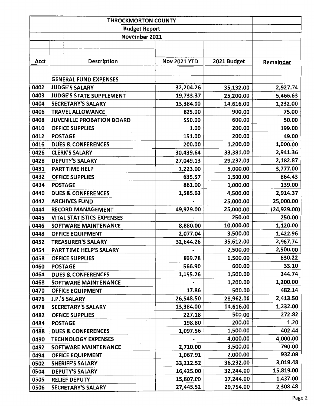|      | November 2021                    |                     |             |              |
|------|----------------------------------|---------------------|-------------|--------------|
|      |                                  |                     |             |              |
|      |                                  |                     |             |              |
| Acct | <b>Description</b>               | <b>Nov 2021 YTD</b> | 2021 Budget | Remainder    |
|      |                                  |                     |             |              |
|      | <b>GENERAL FUND EXPENSES</b>     |                     |             |              |
| 0402 | <b>JUDGE'S SALARY</b>            | 32,204.26           | 35,132.00   | 2,927.74     |
| 0403 | <b>JUDGE'S STATE SUPPLEMENT</b>  | 19,733.37           | 25,200.00   | 5,466.63     |
| 0404 | <b>SECRETARY'S SALARY</b>        | 13,384.00           | 14,616.00   | 1,232.00     |
| 0406 | <b>TRAVEL ALLOWANCE</b>          | 825.00              | 900.00      | 75.00        |
| 0408 | <b>JUVENILLE PROBATION BOARD</b> | 550.00              | 600.00      | 50.00        |
| 0410 | <b>OFFICE SUPPLIES</b>           | 1.00                | 200.00      | 199.00       |
| 0412 | <b>POSTAGE</b>                   | 151.00              | 200.00      | 49.00        |
| 0416 | <b>DUES &amp; CONFERENCES</b>    | 200.00              | 1,200.00    | 1,000.00     |
| 0426 | <b>CLERK'S SALARY</b>            | 30,439.64           | 33,381.00   | 2,941.36     |
| 0428 | <b>DEPUTY'S SALARY</b>           | 27,049.13           | 29,232.00   | 2,182.87     |
| 0431 | <b>PART TIME HELP</b>            | 1,223.00            | 5,000.00    | 3,777.00     |
| 0432 | <b>OFFICE SUPPLIES</b>           | 635.57              | 1,500.00    | 864.43       |
| 0434 | <b>POSTAGE</b>                   | 861.00              | 1,000.00    | 139.00       |
| 0440 | <b>DUES &amp; CONFERENCES</b>    | 1,585.63            | 4,500.00    | 2,914.37     |
| 0442 | <b>ARCHIVES FUND</b>             |                     | 25,000.00   | 25,000.00    |
| 0444 | <b>RECORD MANAGEMENT</b>         | 49,929.00           | 25,000.00   | (24, 929.00) |
| 0445 | <b>VITAL STATISTICS EXPENSES</b> |                     | 250.00      | 250.00       |
| 0446 | SOFTWARE MAINTENANCE             | 8,880.00            | 10,000.00   | 1,120.00     |
| 0448 | <b>OFFICE EQUIPMENT</b>          | 2,077.04            | 3,500.00    | 1,422.96     |
| 0452 | <b>TREASURER'S SALARY</b>        | 32,644.26           | 35,612.00   | 2,967.74     |
| 0454 | PART TIME HELP'S SALARY          |                     | 2,500.00    | 2,500.00     |
| 0458 | <b>OFFICE SUPPLIES</b>           | 869.78              | 1,500.00    | 630.22       |
| 0460 | <b>POSTAGE</b>                   | 566.90              | 600.00      | 33.10        |
| 0464 | <b>DUES &amp; CONFERENCES</b>    | 1,155.26            | 1,500.00    | 344.74       |
| 0468 | SOFTWARE MAINTENANCE             |                     | 1,200.00    | 1,200.00     |
| 0470 | <b>OFFICE EQUIPMENT</b>          | 17.86               | 500.00      | 482.14       |
| 0476 | <b>J.P.'S SALARY</b>             | 26,548.50           | 28,962.00   | 2,413.50     |
| 0478 | <b>SECRETARY'S SALARY</b>        | 13,384.00           | 14,616.00   | 1,232.00     |
| 0482 | <b>OFFICE SUPPLIES</b>           | 227.18              | 500.00      | 272.82       |
| 0484 | $\cdot$<br><b>POSTAGE</b>        | 198.80              | 200.00      | 1.20         |
| 0488 | <b>DUES &amp; CONFERENCES</b>    | 1,097.56            | 1,500.00    | 402.44       |
| 0490 | <b>TECHNOLOGY EXPENSES</b>       |                     | 4,000.00    | 4,000.00     |
| 0492 | SOFTWARE MAINTENANCE             | 2,710.00            | 3,500.00    | 790.00       |
| 0494 | <b>OFFICE EQUIPMENT</b>          | 1,067.91            | 2,000.00    | 932.09       |
| 0502 | <b>SHERIFF'S SALARY</b>          | 33,212.52           | 36,232.00   | 3,019.48     |
| 0504 | <b>DEPUTY'S SALARY</b>           | 16,425.00           | 32,244.00   | 15,819.00    |
| 0505 | <b>RELIEF DEPUTY</b>             | 15,807.00           | 17,244.00   | 1,437.00     |
| 0506 | SECRETARY'S SALARY               | 27,445.52           | 29,754.00   | 2,308.48     |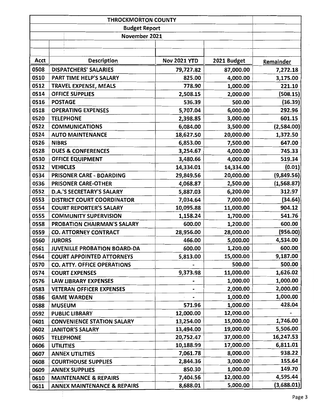| Acct | <b>Description</b>                     | <b>Nov 2021 YTD</b> | 2021 Budget | Remainder  |
|------|----------------------------------------|---------------------|-------------|------------|
| 0508 | <b>DISPATCHERS' SALARIES</b>           | 79,727.82           | 87,000.00   | 7,272.18   |
| 0510 | PART TIME HELP'S SALARY                | 825.00              | 4,000.00    | 3,175.00   |
| 0512 | <b>TRAVEL EXPENSE, MEALS</b>           | 778.90              | 1,000.00    | 221.10     |
| 0514 | <b>OFFICE SUPPLIES</b>                 | 2,508.15            | 2,000.00    | (508.15)   |
| 0516 | <b>POSTAGE</b>                         | 536.39              | 500.00      | (36.39)    |
| 0518 | <b>OPERATING EXPENSES</b>              | 5,707.04            | 6,000.00    | 292.96     |
| 0520 | <b>TELEPHONE</b>                       | 2,398.85            | 3,000.00    | 601.15     |
| 0522 | <b>COMMUNICATIONS</b>                  | 6,084.00            | 3,500.00    | (2,584.00) |
| 0524 | <b>AUTO MAINTENANCE</b>                | 18,627.50           | 20,000.00   | 1,372.50   |
| 0526 | <b>NIBRS</b>                           | 6,853.00            | 7,500.00    | 647.00     |
| 0528 | <b>DUES &amp; CONFERENCES</b>          | 3,254.67            | 4,000.00    | 745.33     |
| 0530 | <b>OFFICE EQUIPMENT</b>                | 3,480.66            | 4,000.00    | 519.34     |
| 0532 | <b>VEHICLES</b>                        | 14,334.01           | 14,334.00   | (0.01)     |
| 0534 | <b>PRISONER CARE - BOARDING</b>        | 29,849.56           | 20,000.00   | (9,849.56) |
| 0536 | PRISONER CARE-OTHER                    | 4,068.87            | 2,500.00    | (1,568.87) |
| 0552 | <b>D.A.'S SECRETARY'S SALARY</b>       | 5,887.03            | 6,200.00    | 312.97     |
| 0553 | <b>DISTRICT COURT COORDINATOR</b>      | 7,034.64            | 7,000.00    | (34.64)    |
| 0554 | <b>COURT REPORTER'S SALARY</b>         | 10,095.88           | 11,000.00   | 904.12     |
| 0555 | <b>COMMUNITY SUPERVISION</b>           | 1,158.24            | 1,700.00    | 541.76     |
| 0558 | PROBATION CHAIRMAN'S SALARY            | 600.00              | 1,200.00    | 600.00     |
| 0559 | <b>CO. ATTORNEY CONTRACT</b>           | 28,956.00           | 28,000.00   | (956.00)   |
| 0560 | <b>JURORS</b>                          | 466.00              | 5,000.00    | 4,534.00   |
| 0561 | <b>JUVENILLE PROBATION BOARD-DA</b>    | 600.00              | 1,200.00    | 600.00     |
| 0564 | <b>COURT APPOINTED ATTORNEYS</b>       | 5,813.00            | 15,000.00   | 9,187.00   |
| 0570 | <b>CO. ATTY. OFFICE OPERATIONS</b>     |                     | 500.00      | 500.00     |
| 0574 | <b>COURT EXPENSES</b>                  | 9,373.98            | 11,000.00   | 1,626.02   |
| 0576 | <b>LAW LIBRARY EXPENSES</b>            |                     | 1,000.00    | 1,000.00   |
| 0583 | <b>VETERAN OFFICER EXPENSES</b>        |                     | 2,000.00    | 2,000.00   |
| 0586 | <b>GAME WARDEN</b>                     |                     | 1,000.00    | 1,000.00   |
| 0588 | <b>MUSEUM</b>                          | 571.96              | 1,000.00    | 428.04     |
| 0592 | <b>PUBLIC LIBRARY</b>                  | 12,000.00           | 12,000.00   |            |
| 0601 | <b>CONVENIENCE STATION SALARY</b>      | 13,254.00           | 15,000.00   | 1,746.00   |
| 0602 | <b>JANITOR'S SALARY</b>                | 13,494.00           | 19,000.00   | 5,506.00   |
| 0605 | <b>TELEPHONE</b>                       | 20,752.47           | 37,000.00   | 16,247.53  |
| 0606 | <b>UTILITIES</b>                       | 10,188.99           | 17,000.00   | 6,811.01   |
| 0607 | <b>ANNEX UTILITIES</b>                 | 7,061.78            | 8,000.00    | 938.22     |
| 0608 | <b>COURTHOUSE SUPPLIES</b>             | 2,844.36            | 3,000.00    | 155.64     |
| 0609 | <b>ANNEX SUPPLIES</b>                  | 850.30              | 1,000.00    | 149.70     |
| 0610 | <b>MAINTENANCE &amp; REPAIRS</b>       | 7,404.56            | 12,000.00   | 4,595.44   |
| 0611 | <b>ANNEX MAINTENANCE &amp; REPAIRS</b> | 8,688.01            | 5,000.00    | (3,688.01) |

 $\frac{1}{2}$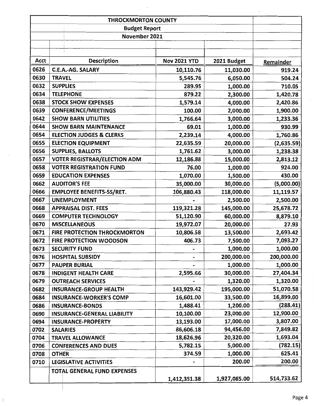| <b>THROCKMORTON COUNTY</b> |                                     |                     |              |            |  |
|----------------------------|-------------------------------------|---------------------|--------------|------------|--|
|                            | <b>Budget Report</b>                |                     |              |            |  |
|                            | November 2021                       |                     |              |            |  |
|                            |                                     |                     |              |            |  |
|                            |                                     |                     |              |            |  |
| Acct                       | <b>Description</b>                  | <b>Nov 2021 YTD</b> | 2021 Budget  | Remainder  |  |
| 0626                       | <b>C.E.A.-AG. SALARY</b>            | 10,110.76           | 11,030.00    | 919.24     |  |
| 0630                       | <b>TRAVEL</b>                       | 5,545.76            | 6,050.00     | 504.24     |  |
| 0632                       | <b>SUPPLIES</b>                     | 289.95              | 1,000.00     | 710.05     |  |
| 0634                       | <b>TELEPHONE</b>                    | 879.22              | 2,300.00     | 1,420.78   |  |
| 0638                       | <b>STOCK SHOW EXPENSES</b>          | 1,579.14            | 4,000.00     | 2,420.86   |  |
| 0639                       | <b>CONFERENCE/MEETINGS</b>          | 100.00              | 2,000.00     | 1,900.00   |  |
| 0642                       | <b>SHOW BARN UTILITIES</b>          | 1,766.64            | 3,000.00     | 1,233.36   |  |
| 0644                       | <b>SHOW BARN MAINTENANCE</b>        | 69.01               | 1,000.00     | 930.99     |  |
| 0654                       | <b>ELECTION JUDGES &amp; CLERKS</b> | 2,239.14            | 4,000.00     | 1,760.86   |  |
| 0655                       | <b>ELECTION EQUIPMENT</b>           | 22,635.59           | 20,000.00    | (2,635.59) |  |
| 0656                       | <b>SUPPLIES, BALLOTS</b>            | 1,761.62            | 3,000.00     | 1,238.38   |  |
| 0657                       | <b>VOTER REGISTRAR/ELECTION ADM</b> | 12,186.88           | 15,000.00    | 2,813.12   |  |
| 0658                       | <b>VOTER REGISTRATION FUND</b>      | 76.00               | 1,000.00     | 924.00     |  |
| 0659                       | <b>EDUCATION EXPENSES</b>           | 1,070.00            | 1,500.00     | 430.00     |  |
| 0662                       | <b>AUDITOR'S FEE</b>                | 35,000.00           | 30,000.00    | (5,000.00) |  |
| 0666                       | <b>EMPLOYEE BENEFITS-SS/RET.</b>    | 106,880.43          | 118,000.00   | 11,119.57  |  |
| 0667                       | <b>UNEMPLOYMENT</b>                 |                     | 2,500.00     | 2,500.00   |  |
| 0668                       | <b>APPRAISAL DIST. FEES</b>         | 119,321.28          | 145,000.00   | 25,678.72  |  |
| 0669                       | <b>COMPUTER TECHNOLOGY</b>          | 51,120.90           | 60,000.00    | 8,879.10   |  |
| 0670                       | <b>MISCELLANEOUS</b>                | 19,972.07           | 20,000.00    | 27.93      |  |
| 0671                       | FIRE PROTECTION THROCKMORTON        | 10,806.58           | 13,500.00    | 2,693.42   |  |
| 0672                       | <b>FIRE PROTECTION WOODSON</b>      | 406.73              | 7,500.00     | 7,093.27   |  |
| 0673                       | <b>SECURITY FUND</b>                |                     | 1,000.00     | 1,000.00   |  |
| 0676                       | <b>HOSPITAL SUBSIDY</b>             |                     | 200,000.00   | 200,000.00 |  |
| 0677                       | <b>PAUPER BURIAL</b>                |                     | 1,000.00     | 1,000.00   |  |
| 0678                       | <b>INDIGENT HEALTH CARE</b>         | 2,595.66            | 30,000.00    | 27,404.34  |  |
| 0679                       | <b>OUTREACH SERVICES</b>            |                     | 1,320.00     | 1,320.00   |  |
| 0682                       | <b>INSURANCE-GROUP HEALTH</b>       | 143,929.42          | 195,000.00   | 51,070.58  |  |
| 0684                       | <b>INSURANCE-WORKER'S COMP</b>      | 16,601.00           | 33,500.00    | 16,899.00  |  |
| 0686                       | <b>INSURANCE-BONDS</b>              | 1,488.41            | 1,200.00     | (288.41)   |  |
| 0690                       | <b>INSURANCE-GENERAL LIABILITY</b>  | 10,100.00           | 23,000.00    | 12,900.00  |  |
| 0694                       | <b>INSURANCE-PROPERTY</b>           | 13,193.00           | 17,000.00    | 3,807.00   |  |
| 0702                       | <b>SALARIES</b>                     | 86,606.18           | 94,456.00    | 7,849.82   |  |
| 0704                       | <b>TRAVEL ALLOWANCE</b>             | 18,626.96           | 20,320.00    | 1,693.04   |  |
| 0706                       | <b>CONFERENCES AND DUES</b>         | 5,782.15            | 5,000.00     | (782.15)   |  |
| 0708                       | <b>OTHER</b>                        | 374.59              | 1,000.00     | 625.41     |  |
| 0710                       | <b>LEGISLATIVE ACTIVITIES</b>       |                     | 200.00       | 200.00     |  |
|                            | <b>TOTAL GENERAL FUND EXPENSES</b>  |                     |              |            |  |
|                            |                                     | 1,412,351.38        | 1,927,085.00 | 514,733.62 |  |

 $\vert$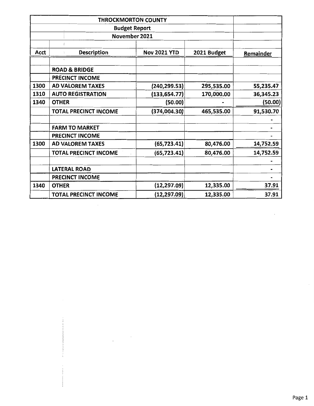|             |                              | <b>THROCKMORTON COUNTY</b> |             |           |  |
|-------------|------------------------------|----------------------------|-------------|-----------|--|
|             |                              | <b>Budget Report</b>       |             |           |  |
|             | November 2021                |                            |             |           |  |
|             |                              |                            |             |           |  |
| <b>Acct</b> | <b>Description</b>           | <b>Nov 2021 YTD</b>        | 2021 Budget | Remainder |  |
|             |                              |                            |             |           |  |
|             | <b>ROAD &amp; BRIDGE</b>     |                            |             |           |  |
|             | <b>PRECINCT INCOME</b>       |                            |             |           |  |
| 1300        | <b>AD VALOREM TAXES</b>      | (240, 299.53)              | 295,535.00  | 55,235.47 |  |
| 1310        | <b>AUTO REGISTRATION</b>     | (133, 654.77)              | 170,000.00  | 36,345.23 |  |
| 1340        | <b>OTHER</b>                 | (50.00)                    |             | (50.00)   |  |
|             | <b>TOTAL PRECINCT INCOME</b> | (374,004.30)               | 465,535.00  | 91,530.70 |  |
|             |                              |                            |             |           |  |
|             | <b>FARM TO MARKET</b>        |                            |             |           |  |
|             | <b>PRECINCT INCOME</b>       |                            |             |           |  |
| 1300        | <b>AD VALOREM TAXES</b>      | (65, 723.41)               | 80,476.00   | 14,752.59 |  |
|             | <b>TOTAL PRECINCT INCOME</b> | (65, 723.41)               | 80,476.00   | 14,752.59 |  |
|             |                              |                            |             |           |  |
|             | <b>LATERAL ROAD</b>          |                            |             |           |  |
|             | <b>PRECINCT INCOME</b>       |                            |             |           |  |
| 1340        | <b>OTHER</b>                 | (12, 297.09)               | 12,335.00   | 37.91     |  |
|             | <b>TOTAL PRECINCT INCOME</b> | (12, 297.09)               | 12,335.00   | 37.91     |  |

 $\sim 10^6$ 

 $\frac{1}{2}$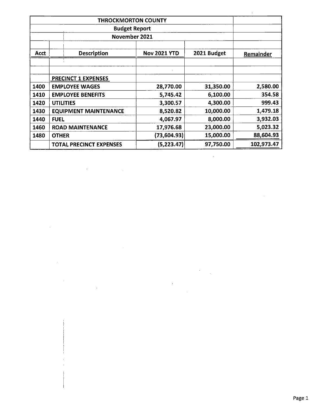|             | <b>THROCKMORTON COUNTY</b>     |                     |             |            |
|-------------|--------------------------------|---------------------|-------------|------------|
|             |                                |                     |             |            |
|             | November 2021                  |                     |             |            |
| <b>Acct</b> | <b>Description</b>             | <b>Nov 2021 YTD</b> | 2021 Budget | Remainder  |
|             |                                |                     |             |            |
|             | <b>PRECINCT 1 EXPENSES</b>     |                     |             |            |
| 1400        | <b>EMPLOYEE WAGES</b>          | 28,770.00           | 31,350.00   | 2,580.00   |
| 1410        | <b>EMPLOYEE BENEFITS</b>       | 5,745.42            | 6,100.00    | 354.58     |
| 1420        | <b>UTILITIES</b>               | 3,300.57            | 4,300.00    | 999.43     |
| 1430        | <b>EQUIPMENT MAINTENANCE</b>   | 8,520.82            | 10,000.00   | 1,479.18   |
| 1440        | <b>FUEL</b>                    | 4,067.97            | 8,000.00    | 3,932.03   |
| 1460        | <b>ROAD MAINTENANCE</b>        | 17,976.68           | 23,000.00   | 5,023.32   |
| 1480        | <b>OTHER</b>                   | (73, 604.93)        | 15,000.00   | 88,604.93  |
|             | <b>TOTAL PRECINCT EXPENSES</b> | (5,223.47)          | 97,750.00   | 102,973.47 |

 $\epsilon$ 

 $\sim 10^{-11}$ 

 $\hat{\mathcal{A}}$ 

 $\bar{z}$ 

 $\bar{\mathcal{A}}$ 

 $\bar{z}$ 

 $\alpha$ 

 $\frac{1}{2}$ 

 $\hat{\boldsymbol{\cdot}$ J.

 $\hat{\boldsymbol{\beta}}$ 

 $\sim$   $\sim$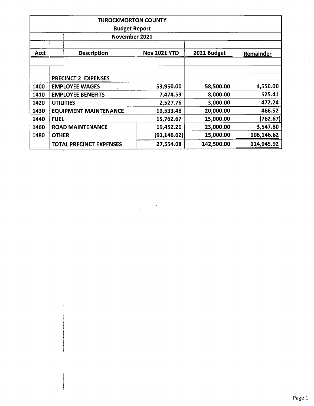|      | <b>THROCKMORTON COUNTY</b>     |                     |             |            |
|------|--------------------------------|---------------------|-------------|------------|
|      |                                |                     |             |            |
|      | November 2021                  |                     |             |            |
| Acct | <b>Description</b>             | <b>Nov 2021 YTD</b> | 2021 Budget | Remainder  |
|      |                                |                     |             |            |
|      | <b>PRECINCT 2 EXPENSES</b>     |                     |             |            |
| 1400 | <b>EMPLOYEE WAGES</b>          | 53,950.00           | 58,500.00   | 4,550.00   |
| 1410 | <b>EMPLOYEE BENEFITS</b>       | 7,474.59            | 8,000.00    | 525.41     |
| 1420 | <b>UTILITIES</b>               | 2,527.76            | 3,000.00    | 472.24     |
| 1430 | <b>EQUIPMENT MAINTENANCE</b>   | 19,533.48           | 20,000.00   | 466.52     |
| 1440 | <b>FUEL</b>                    | 15,762.67           | 15,000.00   | (762.67)   |
| 1460 | <b>ROAD MAINTENANCE</b>        | 19,452.20           | 23,000.00   | 3,547.80   |
| 1480 | <b>OTHER</b>                   | (91, 146.62)        | 15,000.00   | 106,146.62 |
|      | <b>TOTAL PRECINCT EXPENSES</b> | 27,554.08           | 142,500.00  | 114,945.92 |

 $\bar{1}$ 

 $\ddot{\phantom{a}}$ 

 $\bar{\nu}$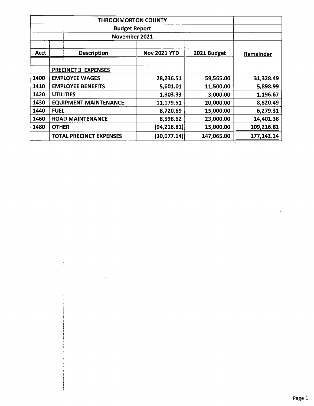|             | November 2021                  |                     |             |            |
|-------------|--------------------------------|---------------------|-------------|------------|
| <b>Acct</b> | <b>Description</b>             | <b>Nov 2021 YTD</b> | 2021 Budget | Remainder  |
|             |                                |                     |             |            |
|             | PRECINCT 3 EXPENSES            |                     |             |            |
| 1400        | <b>EMPLOYEE WAGES</b>          | 28,236.51           | 59,565.00   | 31,328.49  |
| 1410        | <b>EMPLOYEE BENEFITS</b>       | 5,601.01            | 11,500.00   | 5,898.99   |
| 1420        | <b>UTILITIES</b>               | 1,803.33            | 3,000.00    | 1,196.67   |
| 1430        | <b>EQUIPMENT MAINTENANCE</b>   | 11,179.51           | 20,000.00   | 8,820.49   |
| 1440        | <b>FUEL</b>                    | 8,720.69            | 15,000.00   | 6,279.31   |
| 1460        | <b>ROAD MAINTENANCE</b>        | 8,598.62            | 23,000.00   | 14,401.38  |
| 1480        | <b>OTHER</b>                   | (94, 216.81)        | 15,000.00   | 109,216.81 |
|             | <b>TOTAL PRECINCT EXPENSES</b> | (30,077.14)         | 147,065.00  | 177,142.14 |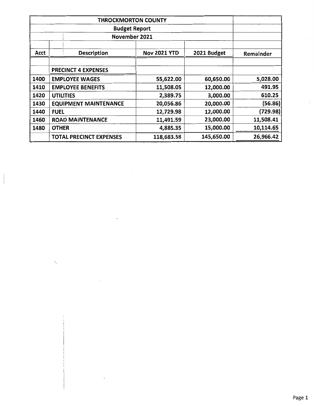|      | <b>THROCKMORTON COUNTY</b>     |                     |             |           |
|------|--------------------------------|---------------------|-------------|-----------|
|      | <b>Budget Report</b>           |                     |             |           |
|      | November 2021                  |                     |             |           |
| Acct | <b>Description</b>             | <b>Nov 2021 YTD</b> | 2021 Budget | Remainder |
|      | <b>PRECINCT 4 EXPENSES</b>     |                     |             |           |
| 1400 | <b>EMPLOYEE WAGES</b>          | 55,622.00           | 60,650.00   | 5,028.00  |
| 1410 | <b>EMPLOYEE BENEFITS</b>       | 11,508.05           | 12,000.00   | 491.95    |
| 1420 | <b>UTILITIES</b>               | 2,389.75            | 3,000.00    | 610.25    |
| 1430 | <b>EQUIPMENT MAINTENANCE</b>   | 20,056.86           | 20,000.00   | (56.86)   |
| 1440 | <b>FUEL</b>                    | 12,729.98           | 12,000.00   | (729.98)  |
| 1460 | <b>ROAD MAINTENANCE</b>        | 11,491.59           | 23,000.00   | 11,508.41 |
| 1480 | <b>OTHER</b>                   | 4,885.35            | 15,000.00   | 10,114.65 |
|      | <b>TOTAL PRECINCT EXPENSES</b> | 118,683.58          | 145,650.00  | 26,966.42 |